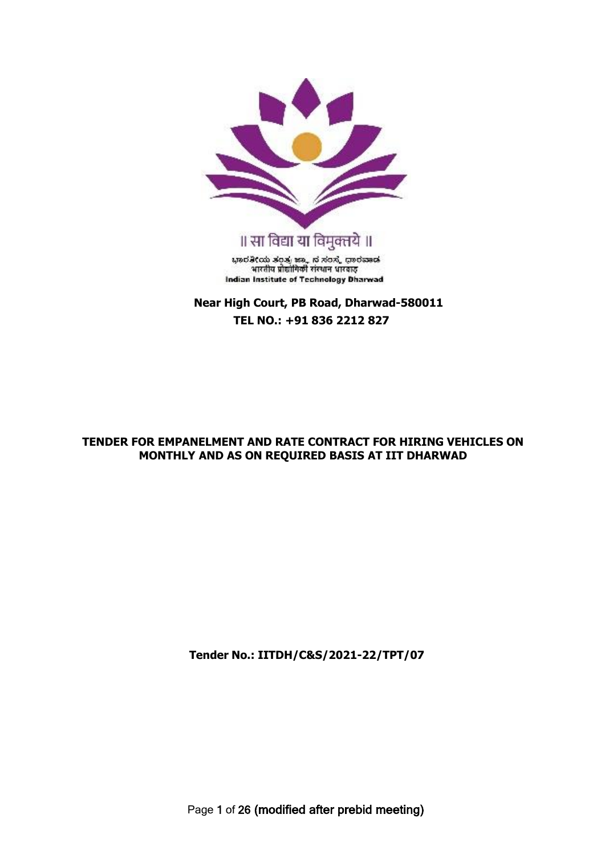

**Near High Court, PB Road, Dharwad-580011 TEL NO.: +91 836 2212 827**

## **TENDER FOR EMPANELMENT AND RATE CONTRACT FOR HIRING VEHICLES ON MONTHLY AND AS ON REQUIRED BASIS AT IIT DHARWAD**

**Tender No.: IITDH/C&S/2021-22/TPT/07**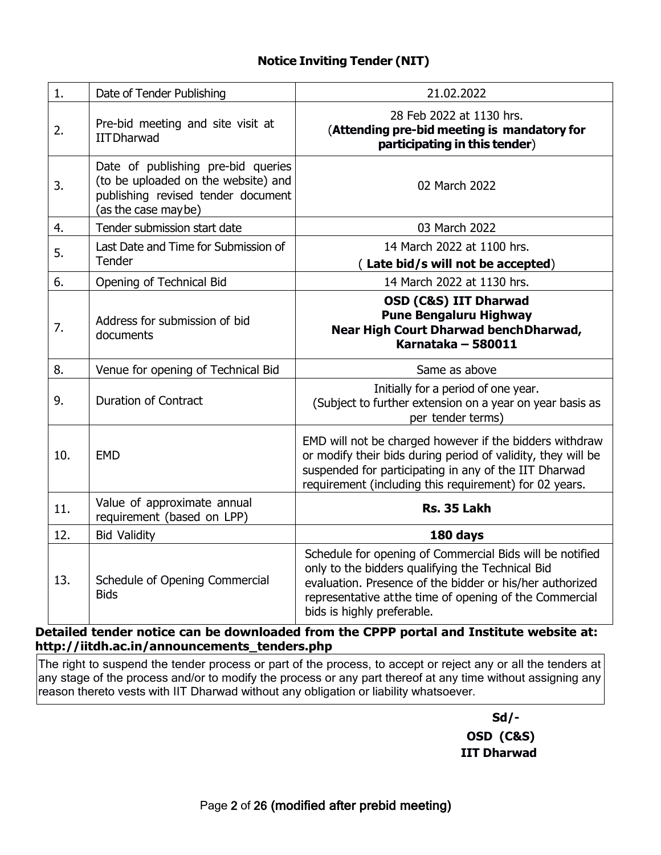## **Notice Inviting Tender (NIT)**

| 1.  | Date of Tender Publishing                                                                                                              | 21.02.2022                                                                                                                                                                                                                                                        |
|-----|----------------------------------------------------------------------------------------------------------------------------------------|-------------------------------------------------------------------------------------------------------------------------------------------------------------------------------------------------------------------------------------------------------------------|
| 2.  | Pre-bid meeting and site visit at<br><b>IITDharwad</b>                                                                                 | 28 Feb 2022 at 1130 hrs.<br>(Attending pre-bid meeting is mandatory for<br>participating in this tender)                                                                                                                                                          |
| 3.  | Date of publishing pre-bid queries<br>(to be uploaded on the website) and<br>publishing revised tender document<br>(as the case maybe) | 02 March 2022                                                                                                                                                                                                                                                     |
| 4.  | Tender submission start date                                                                                                           | 03 March 2022                                                                                                                                                                                                                                                     |
| 5.  | Last Date and Time for Submission of<br>Tender                                                                                         | 14 March 2022 at 1100 hrs.<br>Late bid/s will not be accepted)                                                                                                                                                                                                    |
| 6.  | Opening of Technical Bid                                                                                                               | 14 March 2022 at 1130 hrs.                                                                                                                                                                                                                                        |
| 7.  | Address for submission of bid<br>documents                                                                                             | <b>OSD (C&amp;S) IIT Dharwad</b><br><b>Pune Bengaluru Highway</b><br>Near High Court Dharwad bench Dharwad,<br>Karnataka - 580011                                                                                                                                 |
| 8.  | Venue for opening of Technical Bid                                                                                                     | Same as above                                                                                                                                                                                                                                                     |
| 9.  | <b>Duration of Contract</b>                                                                                                            | Initially for a period of one year.<br>(Subject to further extension on a year on year basis as<br>per tender terms)                                                                                                                                              |
| 10. | <b>EMD</b>                                                                                                                             | EMD will not be charged however if the bidders withdraw<br>or modify their bids during period of validity, they will be<br>suspended for participating in any of the IIT Dharwad<br>requirement (including this requirement) for 02 years.                        |
| 11. | Value of approximate annual<br>requirement (based on LPP)                                                                              | Rs. 35 Lakh                                                                                                                                                                                                                                                       |
| 12. | <b>Bid Validity</b>                                                                                                                    | 180 days                                                                                                                                                                                                                                                          |
| 13. | Schedule of Opening Commercial<br><b>Bids</b>                                                                                          | Schedule for opening of Commercial Bids will be notified<br>only to the bidders qualifying the Technical Bid<br>evaluation. Presence of the bidder or his/her authorized<br>representative at the time of opening of the Commercial<br>bids is highly preferable. |

**Detailed tender notice can be downloaded from the CPPP portal and Institute website at: [http://iitdh.ac.in/announcements\\_tenders.php](http://iitdh.ac.in/announcements_tenders.php)**

The right to suspend the tender process or part of the process, to accept or reject any or all the tenders at any stage of the process and/or to modify the process or any part thereof at any time without assigning any reason thereto vests with IIT Dharwad without any obligation or liability whatsoever.

> **Sd/- OSD (C&S) IIT Dharwad**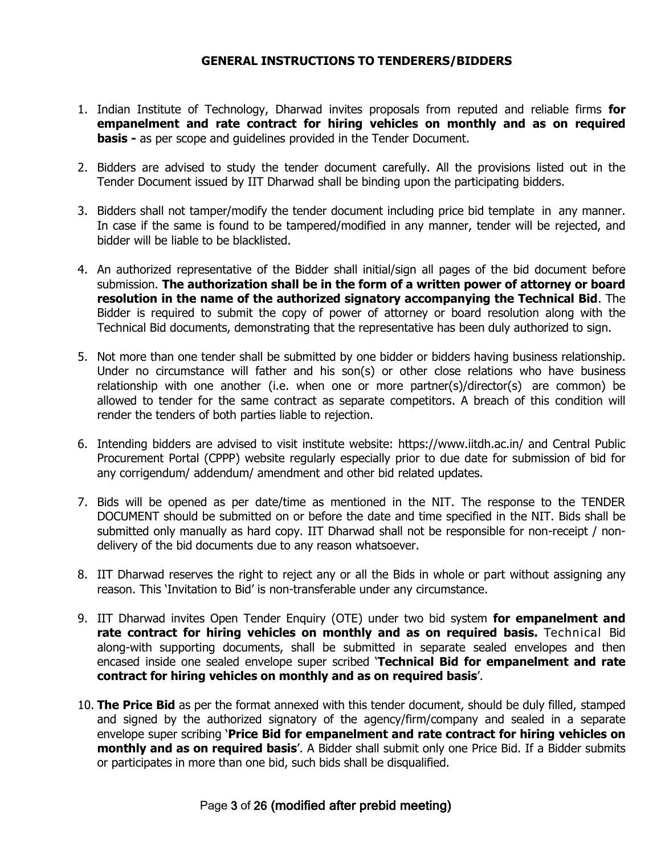### **GENERAL INSTRUCTIONS TO TENDERERS/BIDDERS**

- 1. Indian Institute of Technology, Dharwad invites proposals from reputed and reliable firms **for empanelment and rate contract for hiring vehicles on monthly and as on required basis -** as per scope and guidelines provided in the Tender Document.
- 2. Bidders are advised to study the tender document carefully. All the provisions listed out in the Tender Document issued by IIT Dharwad shall be binding upon the participating bidders.
- 3. Bidders shall not tamper/modify the tender document including price bid template in any manner. In case if the same is found to be tampered/modified in any manner, tender will be rejected, and bidder will be liable to be blacklisted.
- 4. An authorized representative of the Bidder shall initial/sign all pages of the bid document before submission. **The authorization shall be in the form of a written power of attorney or board resolution in the name of the authorized signatory accompanying the Technical Bid**. The Bidder is required to submit the copy of power of attorney or board resolution along with the Technical Bid documents, demonstrating that the representative has been duly authorized to sign.
- 5. Not more than one tender shall be submitted by one bidder or bidders having business relationship. Under no circumstance will father and his son(s) or other close relations who have business relationship with one another (i.e. when one or more partner(s)/director(s) are common) be allowed to tender for the same contract as separate competitors. A breach of this condition will render the tenders of both parties liable to rejection.
- 6. Intending bidders are advised to visit institute website: https:/[/www.iitdh.ac.in/ a](http://www.iitdh.ac.in/)nd Central Public Procurement Portal (CPPP) website regularly especially prior to due date for submission of bid for any corrigendum/ addendum/ amendment and other bid related updates.
- 7. Bids will be opened as per date/time as mentioned in the NIT. The response to the TENDER DOCUMENT should be submitted on or before the date and time specified in the NIT. Bids shall be submitted only manually as hard copy. IIT Dharwad shall not be responsible for non-receipt / nondelivery of the bid documents due to any reason whatsoever.
- 8. IIT Dharwad reserves the right to reject any or all the Bids in whole or part without assigning any reason. This 'Invitation to Bid' is non-transferable under any circumstance.
- 9. IIT Dharwad invites Open Tender Enquiry (OTE) under two bid system **for empanelment and rate contract for hiring vehicles on monthly and as on required basis.** Technical Bid along-with supporting documents, shall be submitted in separate sealed envelopes and then encased inside one sealed envelope super scribed '**Technical Bid for empanelment and rate contract for hiring vehicles on monthly and as on required basis**'.
- 10. **The Price Bid** as per the format annexed with this tender document, should be duly filled, stamped and signed by the authorized signatory of the agency/firm/company and sealed in a separate envelope super scribing '**Price Bid for empanelment and rate contract for hiring vehicles on monthly and as on required basis**'. A Bidder shall submit only one Price Bid. If a Bidder submits or participates in more than one bid, such bids shall be disqualified.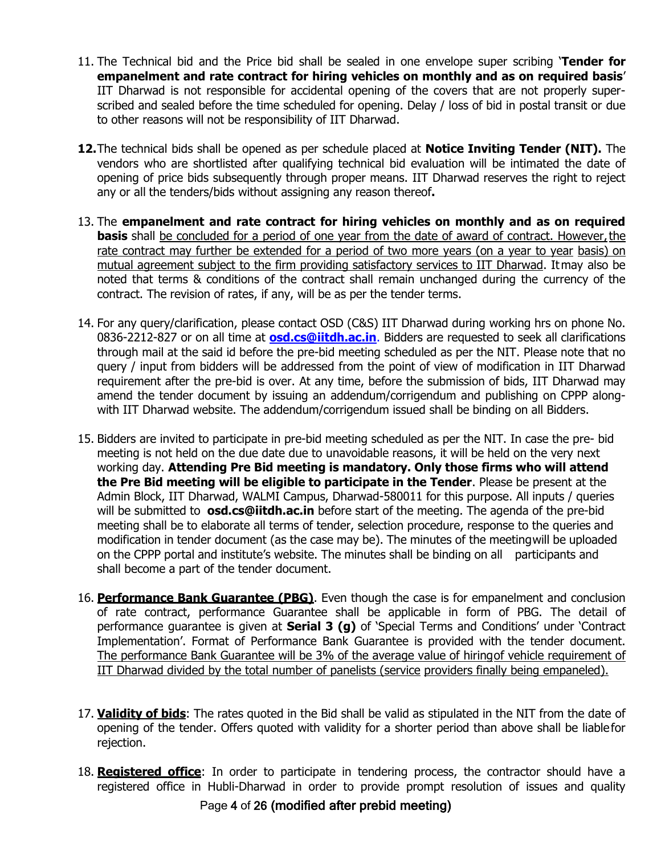- 11. The Technical bid and the Price bid shall be sealed in one envelope super scribing '**Tender for empanelment and rate contract for hiring vehicles on monthly and as on required basis**' IIT Dharwad is not responsible for accidental opening of the covers that are not properly superscribed and sealed before the time scheduled for opening. Delay / loss of bid in postal transit or due to other reasons will not be responsibility of IIT Dharwad.
- **12.**The technical bids shall be opened as per schedule placed at **Notice Inviting Tender (NIT).** The vendors who are shortlisted after qualifying technical bid evaluation will be intimated the date of opening of price bids subsequently through proper means. IIT Dharwad reserves the right to reject any or all the tenders/bids without assigning any reason thereof**.**
- 13. The **empanelment and rate contract for hiring vehicles on monthly and as on required basis** shall be concluded for a period of one year from the date of award of contract. However, the rate contract may further be extended for a period of two more years (on a year to year basis) on mutual agreement subject to the firm providing satisfactory services to IIT Dharwad. Itmay also be noted that terms & conditions of the contract shall remain unchanged during the currency of the contract. The revision of rates, if any, will be as per the tender terms.
- 14. For any query/clarification, please contact OSD (C&S) IIT Dharwad during working hrs on phone No. 0836-2212-827 or on all time at **[osd.cs@iitdh.ac.in](mailto:osd.cs@iitdh.ac.in.)**. Bidders are requested to seek all clarifications through mail at the said id before the pre-bid meeting scheduled as per the NIT. Please note that no query / input from bidders will be addressed from the point of view of modification in IIT Dharwad requirement after the pre-bid is over. At any time, before the submission of bids, IIT Dharwad may amend the tender document by issuing an addendum/corrigendum and publishing on CPPP alongwith IIT Dharwad website. The addendum/corrigendum issued shall be binding on all Bidders.
- 15. Bidders are invited to participate in pre-bid meeting scheduled as per the NIT. In case the pre- bid meeting is not held on the due date due to unavoidable reasons, it will be held on the very next working day. **Attending Pre Bid meeting is mandatory. Only those firms who will attend the Pre Bid meeting will be eligible to participate in the Tender**. Please be present at the Admin Block, IIT Dharwad, WALMI Campus, Dharwad-580011 for this purpose. All inputs / queries will be submitted to **[osd.cs@iitdh.ac.in](mailto:arcs@iitdh.ac.in)** before start of the meeting. The agenda of the pre-bid meeting shall be to elaborate all terms of tender, selection procedure, response to the queries and modification in tender document (as the case may be). The minutes of the meetingwill be uploaded on the CPPP portal and institute's website. The minutes shall be binding on all participants and shall become a part of the tender document.
- 16. **Performance Bank Guarantee (PBG)**. Even though the case is for empanelment and conclusion of rate contract, performance Guarantee shall be applicable in form of PBG. The detail of performance guarantee is given at **Serial 3 (g)** of 'Special Terms and Conditions' under 'Contract Implementation'. Format of Performance Bank Guarantee is provided with the tender document. The performance Bank Guarantee will be 3% of the average value of hiringof vehicle requirement of IIT Dharwad divided by the total number of panelists (service providers finally being empaneled).
- 17. **Validity of bids**: The rates quoted in the Bid shall be valid as stipulated in the NIT from the date of opening of the tender. Offers quoted with validity for a shorter period than above shall be liablefor rejection.
- 18. **Registered office**: In order to participate in tendering process, the contractor should have a registered office in Hubli-Dharwad in order to provide prompt resolution of issues and quality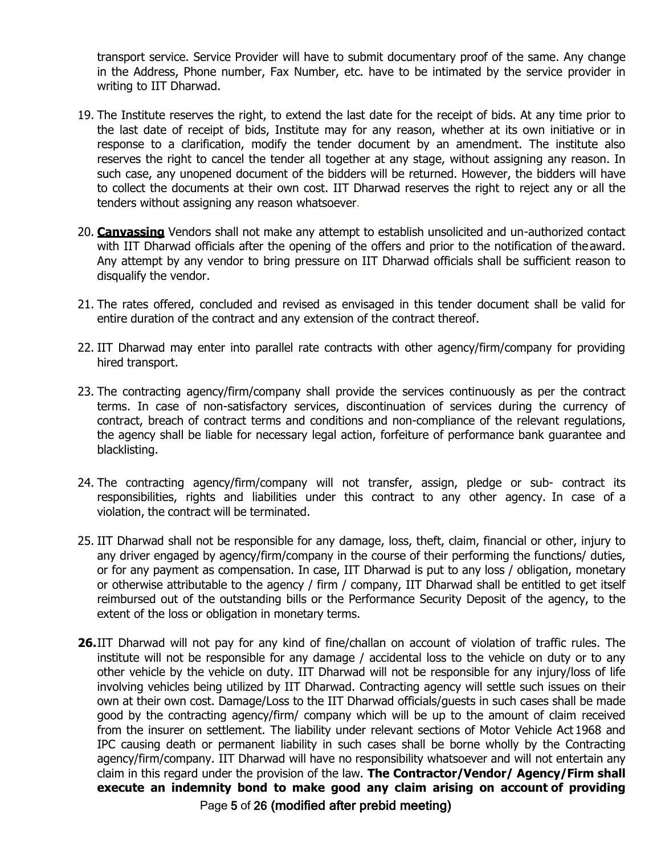transport service. Service Provider will have to submit documentary proof of the same. Any change in the Address, Phone number, Fax Number, etc. have to be intimated by the service provider in writing to IIT Dharwad.

- 19. The Institute reserves the right, to extend the last date for the receipt of bids. At any time prior to the last date of receipt of bids, Institute may for any reason, whether at its own initiative or in response to a clarification, modify the tender document by an amendment. The institute also reserves the right to cancel the tender all together at any stage, without assigning any reason. In such case, any unopened document of the bidders will be returned. However, the bidders will have to collect the documents at their own cost. IIT Dharwad reserves the right to reject any or all the tenders without assigning any reason whatsoever.
- 20. **Canvassing** Vendors shall not make any attempt to establish unsolicited and un-authorized contact with IIT Dharwad officials after the opening of the offers and prior to the notification of the award. Any attempt by any vendor to bring pressure on IIT Dharwad officials shall be sufficient reason to disqualify the vendor.
- 21. The rates offered, concluded and revised as envisaged in this tender document shall be valid for entire duration of the contract and any extension of the contract thereof.
- 22. IIT Dharwad may enter into parallel rate contracts with other agency/firm/company for providing hired transport.
- 23. The contracting agency/firm/company shall provide the services continuously as per the contract terms. In case of non-satisfactory services, discontinuation of services during the currency of contract, breach of contract terms and conditions and non-compliance of the relevant regulations, the agency shall be liable for necessary legal action, forfeiture of performance bank guarantee and blacklisting.
- 24. The contracting agency/firm/company will not transfer, assign, pledge or sub- contract its responsibilities, rights and liabilities under this contract to any other agency. In case of a violation, the contract will be terminated.
- 25. IIT Dharwad shall not be responsible for any damage, loss, theft, claim, financial or other, injury to any driver engaged by agency/firm/company in the course of their performing the functions/ duties, or for any payment as compensation. In case, IIT Dharwad is put to any loss / obligation, monetary or otherwise attributable to the agency / firm / company, IIT Dharwad shall be entitled to get itself reimbursed out of the outstanding bills or the Performance Security Deposit of the agency, to the extent of the loss or obligation in monetary terms.
- Page 5 of 26 (modified after prebid meeting) **26.**IIT Dharwad will not pay for any kind of fine/challan on account of violation of traffic rules. The institute will not be responsible for any damage / accidental loss to the vehicle on duty or to any other vehicle by the vehicle on duty. IIT Dharwad will not be responsible for any injury/loss of life involving vehicles being utilized by IIT Dharwad. Contracting agency will settle such issues on their own at their own cost. Damage/Loss to the IIT Dharwad officials/guests in such cases shall be made good by the contracting agency/firm/ company which will be up to the amount of claim received from the insurer on settlement. The liability under relevant sections of Motor Vehicle Act 1968 and IPC causing death or permanent liability in such cases shall be borne wholly by the Contracting agency/firm/company. IIT Dharwad will have no responsibility whatsoever and will not entertain any claim in this regard under the provision of the law. **The Contractor/Vendor/ Agency/Firm shall execute an indemnity bond to make good any claim arising on account of providing**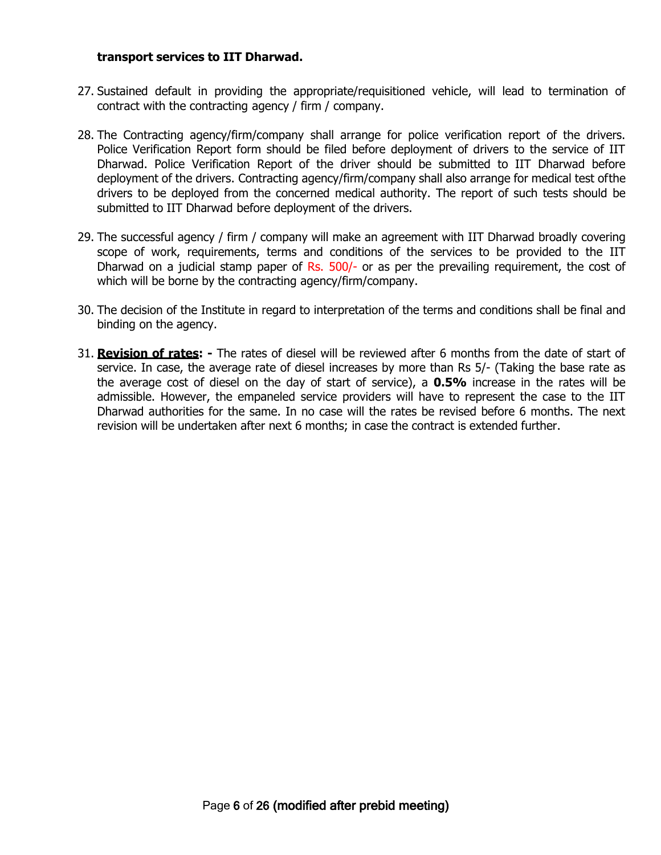### **transport services to IIT Dharwad.**

- 27. Sustained default in providing the appropriate/requisitioned vehicle, will lead to termination of contract with the contracting agency / firm / company.
- 28. The Contracting agency/firm/company shall arrange for police verification report of the drivers. Police Verification Report form should be filed before deployment of drivers to the service of IIT Dharwad. Police Verification Report of the driver should be submitted to IIT Dharwad before deployment of the drivers. Contracting agency/firm/company shall also arrange for medical test ofthe drivers to be deployed from the concerned medical authority. The report of such tests should be submitted to IIT Dharwad before deployment of the drivers.
- 29. The successful agency / firm / company will make an agreement with IIT Dharwad broadly covering scope of work, requirements, terms and conditions of the services to be provided to the IIT Dharwad on a judicial stamp paper of Rs. 500/- or as per the prevailing requirement, the cost of which will be borne by the contracting agency/firm/company.
- 30. The decision of the Institute in regard to interpretation of the terms and conditions shall be final and binding on the agency.
- 31. **Revision of rates: -** The rates of diesel will be reviewed after 6 months from the date of start of service. In case, the average rate of diesel increases by more than Rs 5/- (Taking the base rate as the average cost of diesel on the day of start of service), a **0.5%** increase in the rates will be admissible. However, the empaneled service providers will have to represent the case to the IIT Dharwad authorities for the same. In no case will the rates be revised before 6 months. The next revision will be undertaken after next 6 months; in case the contract is extended further.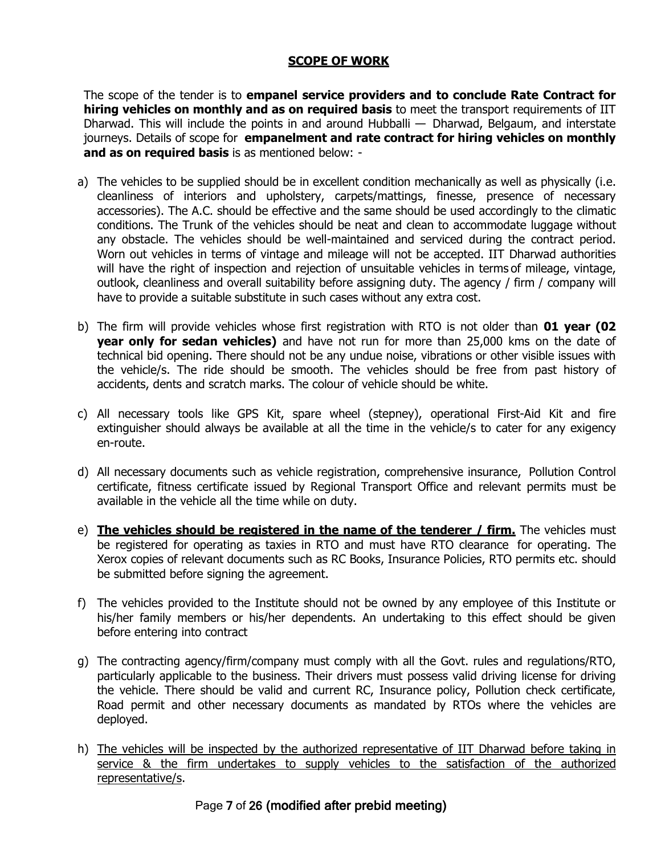## **SCOPE OF WORK**

The scope of the tender is to **empanel service providers and to conclude Rate Contract for hiring vehicles on monthly and as on required basis** to meet the transport requirements of IIT Dharwad. This will include the points in and around Hubballi  $-$  Dharwad, Belgaum, and interstate journeys. Details of scope for **empanelment and rate contract for hiring vehicles on monthly and as on required basis** is as mentioned below: -

- a) The vehicles to be supplied should be in excellent condition mechanically as well as physically (i.e. cleanliness of interiors and upholstery, carpets/mattings, finesse, presence of necessary accessories). The A.C. should be effective and the same should be used accordingly to the climatic conditions. The Trunk of the vehicles should be neat and clean to accommodate luggage without any obstacle. The vehicles should be well-maintained and serviced during the contract period. Worn out vehicles in terms of vintage and mileage will not be accepted. IIT Dharwad authorities will have the right of inspection and rejection of unsuitable vehicles in terms of mileage, vintage, outlook, cleanliness and overall suitability before assigning duty. The agency / firm / company will have to provide a suitable substitute in such cases without any extra cost.
- b) The firm will provide vehicles whose first registration with RTO is not older than **01 year (02 year only for sedan vehicles)** and have not run for more than 25,000 kms on the date of technical bid opening. There should not be any undue noise, vibrations or other visible issues with the vehicle/s. The ride should be smooth. The vehicles should be free from past history of accidents, dents and scratch marks. The colour of vehicle should be white.
- c) All necessary tools like GPS Kit, spare wheel (stepney), operational First-Aid Kit and fire extinguisher should always be available at all the time in the vehicle/s to cater for any exigency en-route.
- d) All necessary documents such as vehicle registration, comprehensive insurance, Pollution Control certificate, fitness certificate issued by Regional Transport Office and relevant permits must be available in the vehicle all the time while on duty.
- e) **The vehicles should be registered in the name of the tenderer / firm.** The vehicles must be registered for operating as taxies in RTO and must have RTO clearance for operating. The Xerox copies of relevant documents such as RC Books, Insurance Policies, RTO permits etc. should be submitted before signing the agreement.
- f) The vehicles provided to the Institute should not be owned by any employee of this Institute or his/her family members or his/her dependents. An undertaking to this effect should be given before entering into contract
- g) The contracting agency/firm/company must comply with all the Govt. rules and regulations/RTO, particularly applicable to the business. Their drivers must possess valid driving license for driving the vehicle. There should be valid and current RC, Insurance policy, Pollution check certificate, Road permit and other necessary documents as mandated by RTOs where the vehicles are deployed.
- h) The vehicles will be inspected by the authorized representative of IIT Dharwad before taking in service & the firm undertakes to supply vehicles to the satisfaction of the authorized representative/s.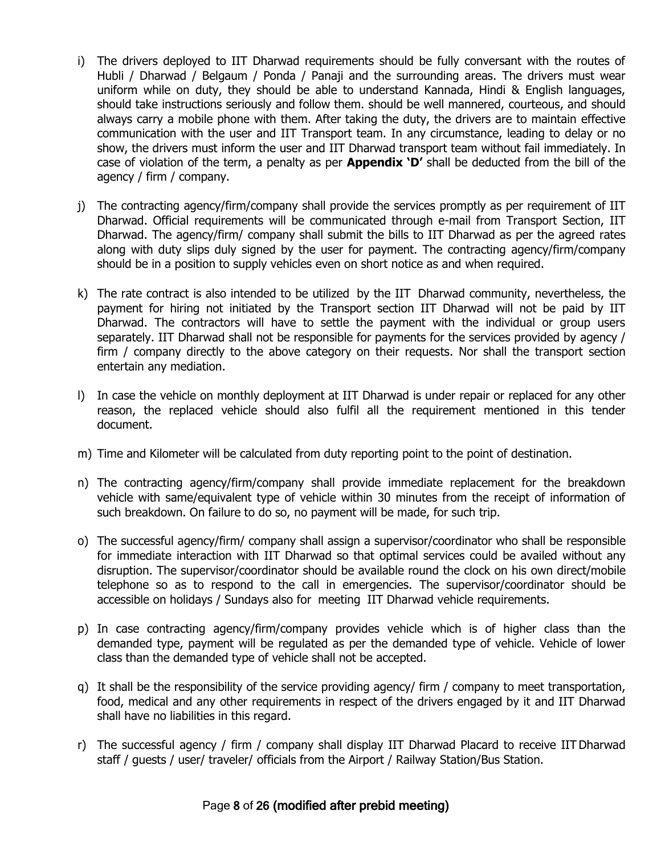- i) The drivers deployed to IIT Dharwad requirements should be fully conversant with the routes of Hubli / Dharwad / Belgaum / Ponda / Panaji and the surrounding areas. The drivers must wear uniform while on duty, they should be able to understand Kannada, Hindi & English languages, should take instructions seriously and follow them. should be well mannered, courteous, and should always carry a mobile phone with them. After taking the duty, the drivers are to maintain effective communication with the user and IIT Transport team. In any circumstance, leading to delay or no show, the drivers must inform the user and IIT Dharwad transport team without fail immediately. In case of violation of the term, a penalty as per **Appendix 'D'** shall be deducted from the bill of the agency / firm / company.
- j) The contracting agency/firm/company shall provide the services promptly as per requirement of IIT Dharwad. Official requirements will be communicated through e-mail from Transport Section, IIT Dharwad. The agency/firm/ company shall submit the bills to IIT Dharwad as per the agreed rates along with duty slips duly signed by the user for payment. The contracting agency/firm/company should be in a position to supply vehicles even on short notice as and when required.
- k) The rate contract is also intended to be utilized by the IIT Dharwad community, nevertheless, the payment for hiring not initiated by the Transport section IIT Dharwad will not be paid by IIT Dharwad. The contractors will have to settle the payment with the individual or group users separately. IIT Dharwad shall not be responsible for payments for the services provided by agency / firm / company directly to the above category on their requests. Nor shall the transport section entertain any mediation.
- l) In case the vehicle on monthly deployment at IIT Dharwad is under repair or replaced for any other reason, the replaced vehicle should also fulfil all the requirement mentioned in this tender document.
- m) Time and Kilometer will be calculated from duty reporting point to the point of destination.
- n) The contracting agency/firm/company shall provide immediate replacement for the breakdown vehicle with same/equivalent type of vehicle within 30 minutes from the receipt of information of such breakdown. On failure to do so, no payment will be made, for such trip.
- o) The successful agency/firm/ company shall assign a supervisor/coordinator who shall be responsible for immediate interaction with IIT Dharwad so that optimal services could be availed without any disruption. The supervisor/coordinator should be available round the clock on his own direct/mobile telephone so as to respond to the call in emergencies. The supervisor/coordinator should be accessible on holidays / Sundays also for meeting IIT Dharwad vehicle requirements.
- p) In case contracting agency/firm/company provides vehicle which is of higher class than the demanded type, payment will be regulated as per the demanded type of vehicle. Vehicle of lower class than the demanded type of vehicle shall not be accepted.
- q) It shall be the responsibility of the service providing agency/ firm / company to meet transportation, food, medical and any other requirements in respect of the drivers engaged by it and IIT Dharwad shall have no liabilities in this regard.
- r) The successful agency / firm / company shall display IIT Dharwad Placard to receive IITDharwad staff / guests / user/ traveler/ officials from the Airport / Railway Station/Bus Station.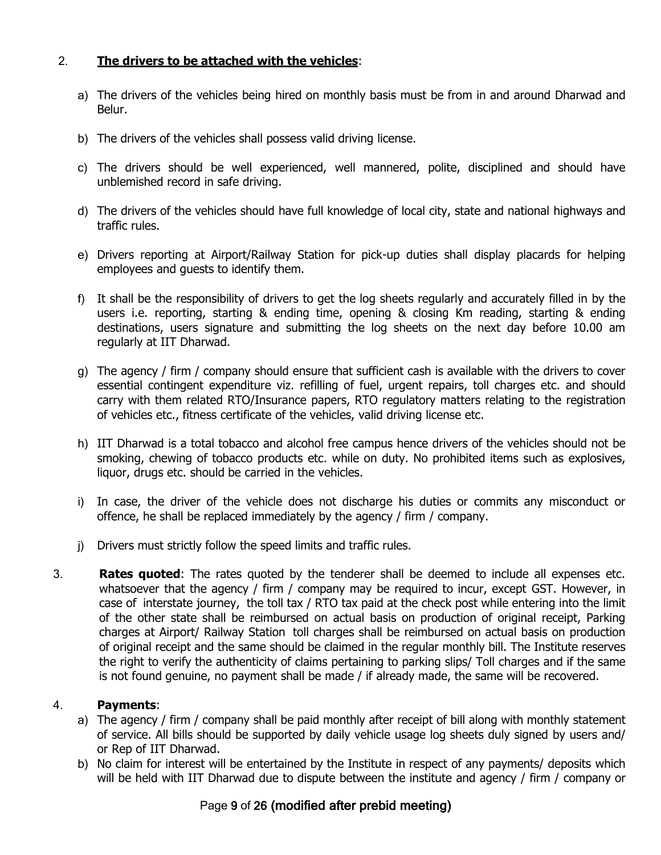## 2. **The drivers to be attached with the vehicles**:

- a) The drivers of the vehicles being hired on monthly basis must be from in and around Dharwad and Belur.
- b) The drivers of the vehicles shall possess valid driving license.
- c) The drivers should be well experienced, well mannered, polite, disciplined and should have unblemished record in safe driving.
- d) The drivers of the vehicles should have full knowledge of local city, state and national highways and traffic rules.
- e) Drivers reporting at Airport/Railway Station for pick-up duties shall display placards for helping employees and guests to identify them.
- f) It shall be the responsibility of drivers to get the log sheets regularly and accurately filled in by the users i.e. reporting, starting & ending time, opening & closing Km reading, starting & ending destinations, users signature and submitting the log sheets on the next day before 10.00 am regularly at IIT Dharwad.
- g) The agency / firm / company should ensure that sufficient cash is available with the drivers to cover essential contingent expenditure viz. refilling of fuel, urgent repairs, toll charges etc. and should carry with them related RTO/Insurance papers, RTO regulatory matters relating to the registration of vehicles etc., fitness certificate of the vehicles, valid driving license etc.
- h) IIT Dharwad is a total tobacco and alcohol free campus hence drivers of the vehicles should not be smoking, chewing of tobacco products etc. while on duty. No prohibited items such as explosives, liquor, drugs etc. should be carried in the vehicles.
- i) In case, the driver of the vehicle does not discharge his duties or commits any misconduct or offence, he shall be replaced immediately by the agency / firm / company.
- j) Drivers must strictly follow the speed limits and traffic rules.
- 3. **Rates quoted**: The rates quoted by the tenderer shall be deemed to include all expenses etc. whatsoever that the agency / firm / company may be required to incur, except GST. However, in case of interstate journey, the toll tax / RTO tax paid at the check post while entering into the limit of the other state shall be reimbursed on actual basis on production of original receipt, Parking charges at Airport/ Railway Station toll charges shall be reimbursed on actual basis on production of original receipt and the same should be claimed in the regular monthly bill. The Institute reserves the right to verify the authenticity of claims pertaining to parking slips/ Toll charges and if the same is not found genuine, no payment shall be made / if already made, the same will be recovered.

## 4. **Payments**:

- a) The agency / firm / company shall be paid monthly after receipt of bill along with monthly statement of service. All bills should be supported by daily vehicle usage log sheets duly signed by users and/ or Rep of IIT Dharwad.
- b) No claim for interest will be entertained by the Institute in respect of any payments/ deposits which will be held with IIT Dharwad due to dispute between the institute and agency / firm / company or

## Page 9 of 26 (modified after prebid meeting)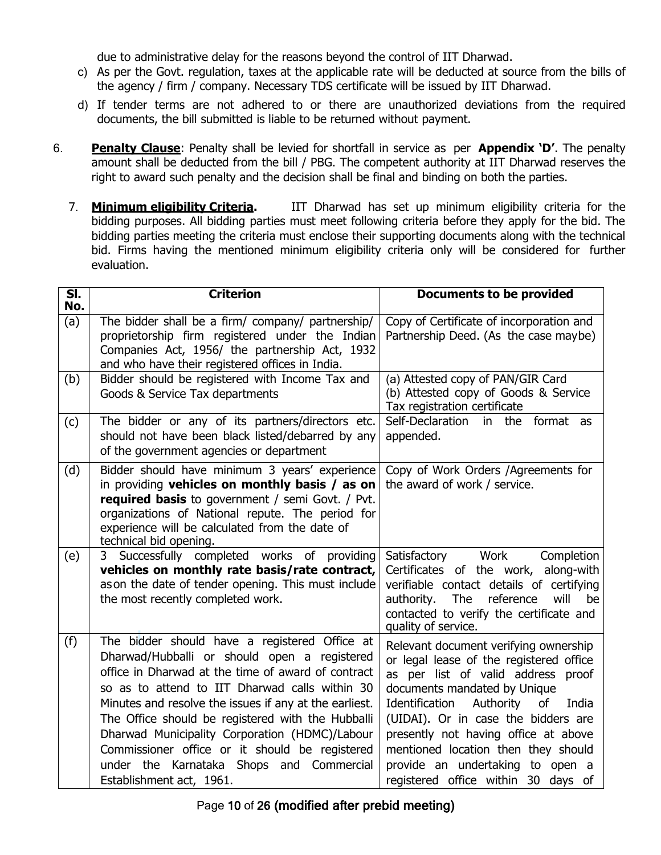due to administrative delay for the reasons beyond the control of IIT Dharwad.

- c) As per the Govt. regulation, taxes at the applicable rate will be deducted at source from the bills of the agency / firm / company. Necessary TDS certificate will be issued by IIT Dharwad.
- d) If tender terms are not adhered to or there are unauthorized deviations from the required documents, the bill submitted is liable to be returned without payment.
- 6. **Penalty Clause**: Penalty shall be levied for shortfall in service as per **Appendix 'D'**. The penalty amount shall be deducted from the bill / PBG. The competent authority at IIT Dharwad reserves the right to award such penalty and the decision shall be final and binding on both the parties.
	- 7. **Minimum eligibility Criteria.** IIT Dharwad has set up minimum eligibility criteria for the bidding purposes. All bidding parties must meet following criteria before they apply for the bid. The bidding parties meeting the criteria must enclose their supporting documents along with the technical bid. Firms having the mentioned minimum eligibility criteria only will be considered for further evaluation.

| $\overline{\mathsf{SI}.}$<br>No. | <b>Criterion</b>                                                                                                                                                                                                                                                                                                                                                                                                                                                                                    | <b>Documents to be provided</b>                                                                                                                                                                                                                                                                                                                                                                       |
|----------------------------------|-----------------------------------------------------------------------------------------------------------------------------------------------------------------------------------------------------------------------------------------------------------------------------------------------------------------------------------------------------------------------------------------------------------------------------------------------------------------------------------------------------|-------------------------------------------------------------------------------------------------------------------------------------------------------------------------------------------------------------------------------------------------------------------------------------------------------------------------------------------------------------------------------------------------------|
| (a)                              | The bidder shall be a firm/ company/ partnership/<br>proprietorship firm registered under the Indian<br>Companies Act, 1956/ the partnership Act, 1932<br>and who have their registered offices in India.                                                                                                                                                                                                                                                                                           | Copy of Certificate of incorporation and<br>Partnership Deed. (As the case maybe)                                                                                                                                                                                                                                                                                                                     |
| (b)                              | Bidder should be registered with Income Tax and<br>Goods & Service Tax departments                                                                                                                                                                                                                                                                                                                                                                                                                  | (a) Attested copy of PAN/GIR Card<br>(b) Attested copy of Goods & Service<br>Tax registration certificate                                                                                                                                                                                                                                                                                             |
| (c)                              | The bidder or any of its partners/directors etc.<br>should not have been black listed/debarred by any<br>of the government agencies or department                                                                                                                                                                                                                                                                                                                                                   | Self-Declaration<br>in the format as<br>appended.                                                                                                                                                                                                                                                                                                                                                     |
| (d)                              | Bidder should have minimum 3 years' experience<br>in providing vehicles on monthly basis / as on<br>required basis to government / semi Govt. / Pvt.<br>organizations of National repute. The period for<br>experience will be calculated from the date of<br>technical bid opening.                                                                                                                                                                                                                | Copy of Work Orders /Agreements for<br>the award of work / service.                                                                                                                                                                                                                                                                                                                                   |
| (e)                              | Successfully completed works of providing<br>3<br>vehicles on monthly rate basis/rate contract,<br>as on the date of tender opening. This must include<br>the most recently completed work.                                                                                                                                                                                                                                                                                                         | Work<br>Satisfactory<br>Completion<br>Certificates of the work, along-with<br>verifiable contact details of certifying<br>The<br>authority.<br>reference<br>will<br>be<br>contacted to verify the certificate and<br>quality of service.                                                                                                                                                              |
| (f)                              | The bidder should have a registered Office at<br>Dharwad/Hubballi or should open a registered<br>office in Dharwad at the time of award of contract<br>so as to attend to IIT Dharwad calls within 30<br>Minutes and resolve the issues if any at the earliest.<br>The Office should be registered with the Hubballi<br>Dharwad Municipality Corporation (HDMC)/Labour<br>Commissioner office or it should be registered<br>under the<br>Karnataka Shops and Commercial<br>Establishment act, 1961. | Relevant document verifying ownership<br>or legal lease of the registered office<br>as per list of valid address proof<br>documents mandated by Unique<br>Identification<br>Authority<br>of<br>India<br>(UIDAI). Or in case the bidders are<br>presently not having office at above<br>mentioned location then they should<br>provide an undertaking to open a<br>registered office within 30 days of |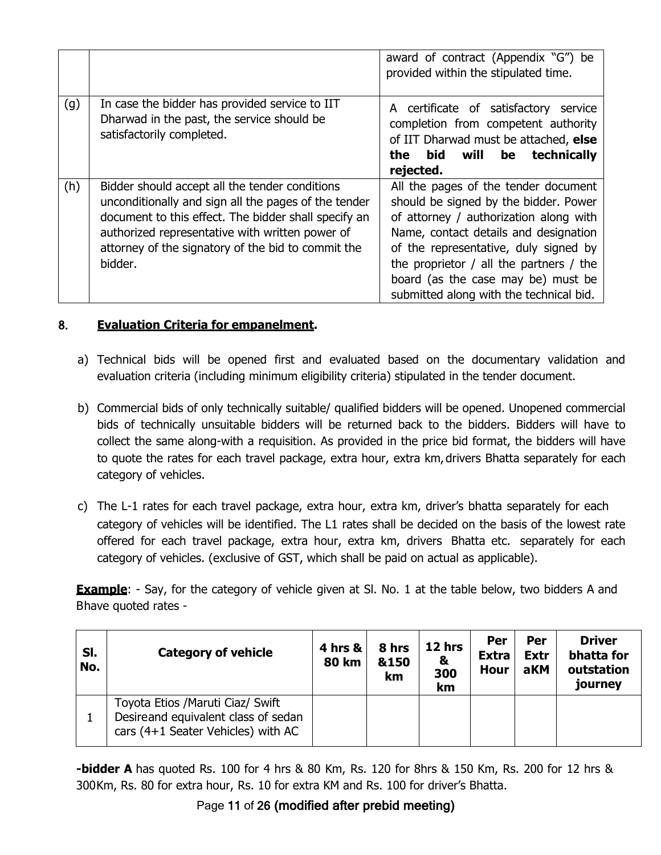|     |                                                                                                                                                                                                                                                                                    | award of contract (Appendix "G") be<br>provided within the stipulated time.                                                                                                                                                                                                                                                               |
|-----|------------------------------------------------------------------------------------------------------------------------------------------------------------------------------------------------------------------------------------------------------------------------------------|-------------------------------------------------------------------------------------------------------------------------------------------------------------------------------------------------------------------------------------------------------------------------------------------------------------------------------------------|
| (g) | In case the bidder has provided service to IIT<br>Dharwad in the past, the service should be<br>satisfactorily completed.                                                                                                                                                          | A certificate of satisfactory<br>service<br>completion from competent authority<br>of IIT Dharwad must be attached, else<br>technically<br>bid will<br>be<br>the<br>rejected.                                                                                                                                                             |
| (h) | Bidder should accept all the tender conditions<br>unconditionally and sign all the pages of the tender<br>document to this effect. The bidder shall specify an<br>authorized representative with written power of<br>attorney of the signatory of the bid to commit the<br>bidder. | All the pages of the tender document<br>should be signed by the bidder. Power<br>of attorney / authorization along with<br>Name, contact details and designation<br>of the representative, duly signed by<br>the proprietor $/$ all the partners $/$ the<br>board (as the case may be) must be<br>submitted along with the technical bid. |

## 8. **Evaluation Criteria for empanelment.**

- a) Technical bids will be opened first and evaluated based on the documentary validation and evaluation criteria (including minimum eligibility criteria) stipulated in the tender document.
- b) Commercial bids of only technically suitable/ qualified bidders will be opened. Unopened commercial bids of technically unsuitable bidders will be returned back to the bidders. Bidders will have to collect the same along-with a requisition. As provided in the price bid format, the bidders will have to quote the rates for each travel package, extra hour, extra km,drivers Bhatta separately for each category of vehicles.
- c) The L-1 rates for each travel package, extra hour, extra km, driver's bhatta separately for each category of vehicles will be identified. The L1 rates shall be decided on the basis of the lowest rate offered for each travel package, extra hour, extra km, drivers Bhatta etc. separately for each category of vehicles. (exclusive of GST, which shall be paid on actual as applicable).

**Example**: - Say, for the category of vehicle given at SI. No. 1 at the table below, two bidders A and Bhave quoted rates -

| SI.<br>No. | <b>Category of vehicle</b>                                                                                     | <b>4 hrs &amp;</b><br><b>80 km</b> | 8 hrs<br>&150<br>km | 12 hrs<br>&<br>300<br>km | Per<br><b>Extra</b><br>Hour | Per<br><b>Extr</b><br>aKM | <b>Driver</b><br>bhatta for<br>outstation<br>journey |
|------------|----------------------------------------------------------------------------------------------------------------|------------------------------------|---------------------|--------------------------|-----------------------------|---------------------------|------------------------------------------------------|
|            | Toyota Etios / Maruti Ciaz/ Swift<br>Desireand equivalent class of sedan<br>cars (4+1 Seater Vehicles) with AC |                                    |                     |                          |                             |                           |                                                      |

**-bidder A** has quoted Rs. 100 for 4 hrs & 80 Km, Rs. 120 for 8hrs & 150 Km, Rs. 200 for 12 hrs & 300Km, Rs. 80 for extra hour, Rs. 10 for extra KM and Rs. 100 for driver's Bhatta.

# Page 11 of 26 (modified after prebid meeting)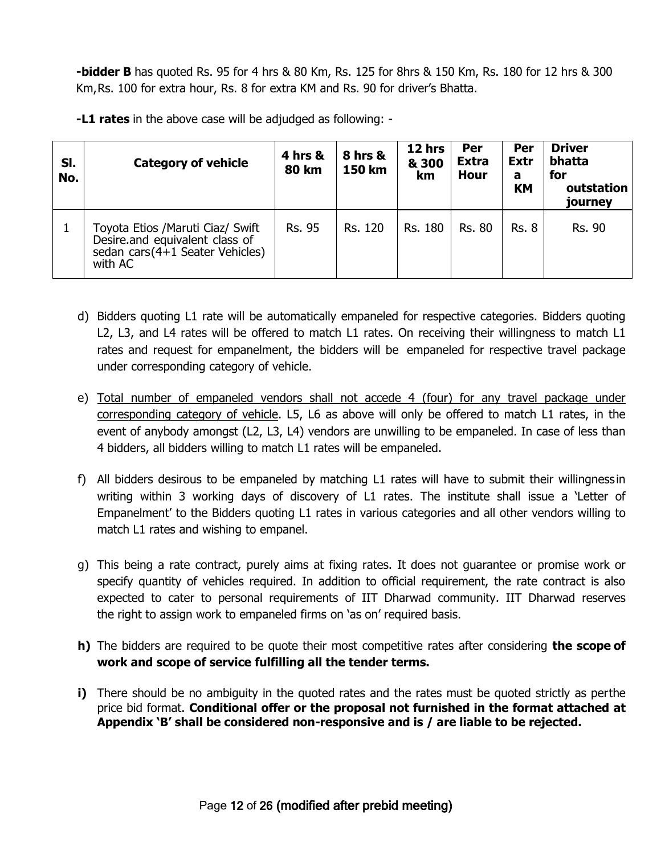**-bidder B** has quoted Rs. 95 for 4 hrs & 80 Km, Rs. 125 for 8hrs & 150 Km, Rs. 180 for 12 hrs & 300 Km,Rs. 100 for extra hour, Rs. 8 for extra KM and Rs. 90 for driver's Bhatta.

**-L1 rates** in the above case will be adjudged as following: -

| SI.<br>No. | <b>Category of vehicle</b>                                                                                        | 4 hrs &<br><b>80 km</b> | <b>8 hrs &amp;</b><br>150 km | 12 hrs<br>& 300<br>km | Per<br><b>Extra</b><br><b>Hour</b> | Per<br><b>Extr</b><br>a<br><b>KM</b> | <b>Driver</b><br>bhatta<br>for<br>outstation<br>journey |
|------------|-------------------------------------------------------------------------------------------------------------------|-------------------------|------------------------------|-----------------------|------------------------------------|--------------------------------------|---------------------------------------------------------|
|            | Toyota Etios /Maruti Ciaz/ Swift<br>Desire.and equivalent class of<br>sedan cars (4+1 Seater Vehicles)<br>with AC | <b>Rs. 95</b>           | Rs. 120                      | Rs. 180               | <b>Rs. 80</b>                      | <b>Rs. 8</b>                         | <b>Rs. 90</b>                                           |

- d) Bidders quoting L1 rate will be automatically empaneled for respective categories. Bidders quoting L2, L3, and L4 rates will be offered to match L1 rates. On receiving their willingness to match L1 rates and request for empanelment, the bidders will be empaneled for respective travel package under corresponding category of vehicle.
- e) Total number of empaneled vendors shall not accede 4 (four) for any travel package under corresponding category of vehicle. L5, L6 as above will only be offered to match L1 rates, in the event of anybody amongst (L2, L3, L4) vendors are unwilling to be empaneled. In case of less than 4 bidders, all bidders willing to match L1 rates will be empaneled.
- f) All bidders desirous to be empaneled by matching L1 rates will have to submit their willingnessin writing within 3 working days of discovery of L1 rates. The institute shall issue a 'Letter of Empanelment' to the Bidders quoting L1 rates in various categories and all other vendors willing to match L1 rates and wishing to empanel.
- g) This being a rate contract, purely aims at fixing rates. It does not guarantee or promise work or specify quantity of vehicles required. In addition to official requirement, the rate contract is also expected to cater to personal requirements of IIT Dharwad community. IIT Dharwad reserves the right to assign work to empaneled firms on 'as on' required basis.
- **h)** The bidders are required to be quote their most competitive rates after considering **the scope of work and scope of service fulfilling all the tender terms.**
- **i)** There should be no ambiguity in the quoted rates and the rates must be quoted strictly as perthe price bid format. **Conditional offer or the proposal not furnished in the format attached at Appendix 'B' shall be considered non-responsive and is / are liable to be rejected.**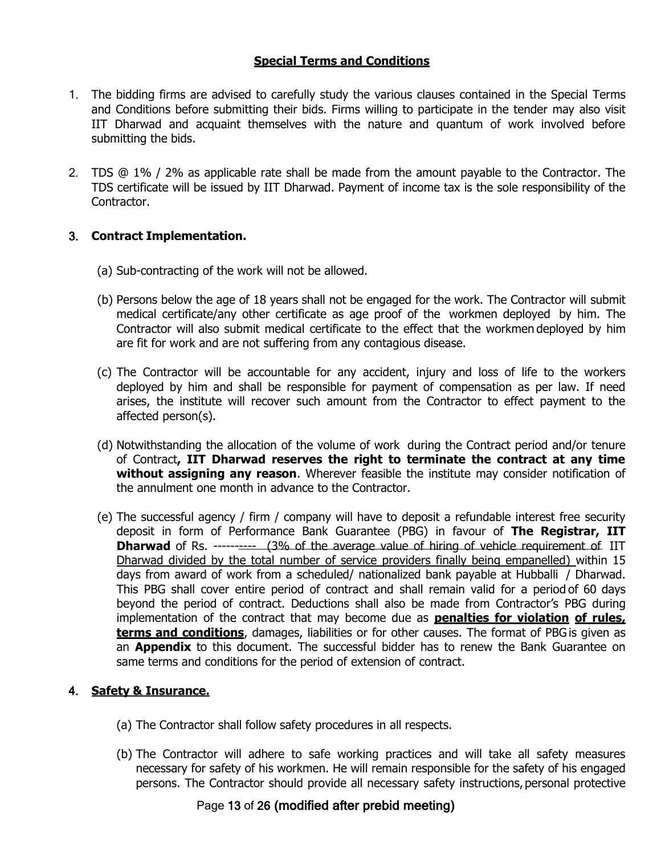## **Special Terms and Conditions**

- 1. The bidding firms are advised to carefully study the various clauses contained in the Special Terms and Conditions before submitting their bids. Firms willing to participate in the tender may also visit IIT Dharwad and acquaint themselves with the nature and quantum of work involved before submitting the bids.
- 2. TDS @ 1% / 2% as applicable rate shall be made from the amount payable to the Contractor. The TDS certificate will be issued by IIT Dharwad. Payment of income tax is the sole responsibility of the Contractor.

## 3. **Contract Implementation.**

- (a) Sub-contracting of the work will not be allowed.
- (b) Persons below the age of 18 years shall not be engaged for the work. The Contractor will submit medical certificate/any other certificate as age proof of the workmen deployed by him. The Contractor will also submit medical certificate to the effect that the workmen deployed by him are fit for work and are not suffering from any contagious disease.
- (c) The Contractor will be accountable for any accident, injury and loss of life to the workers deployed by him and shall be responsible for payment of compensation as per law. If need arises, the institute will recover such amount from the Contractor to effect payment to the affected person(s).
- (d) Notwithstanding the allocation of the volume of work during the Contract period and/or tenure of Contract**, IIT Dharwad reserves the right to terminate the contract at any time without assigning any reason**. Wherever feasible the institute may consider notification of the annulment one month in advance to the Contractor.
- (e) The successful agency / firm / company will have to deposit a refundable interest free security deposit in form of Performance Bank Guarantee (PBG) in favour of **The Registrar, IIT Dharwad** of Rs. ---------- (3% of the average value of hiring of vehicle requirement of IIT Dharwad divided by the total number of service providers finally being empanelled) within 15 days from award of work from a scheduled/ nationalized bank payable at Hubballi / Dharwad. This PBG shall cover entire period of contract and shall remain valid for a period of 60 days beyond the period of contract. Deductions shall also be made from Contractor's PBG during implementation of the contract that may become due as **penalties for violation of rules, terms and conditions**, damages, liabilities or for other causes. The format of PBG is given as an **Appendix** to this document. The successful bidder has to renew the Bank Guarantee on same terms and conditions for the period of extension of contract.

## 4. **Safety & Insurance.**

- (a) The Contractor shall follow safety procedures in all respects.
- (b) The Contractor will adhere to safe working practices and will take all safety measures necessary for safety of his workmen. He will remain responsible for the safety of his engaged persons. The Contractor should provide all necessary safety instructions, personal protective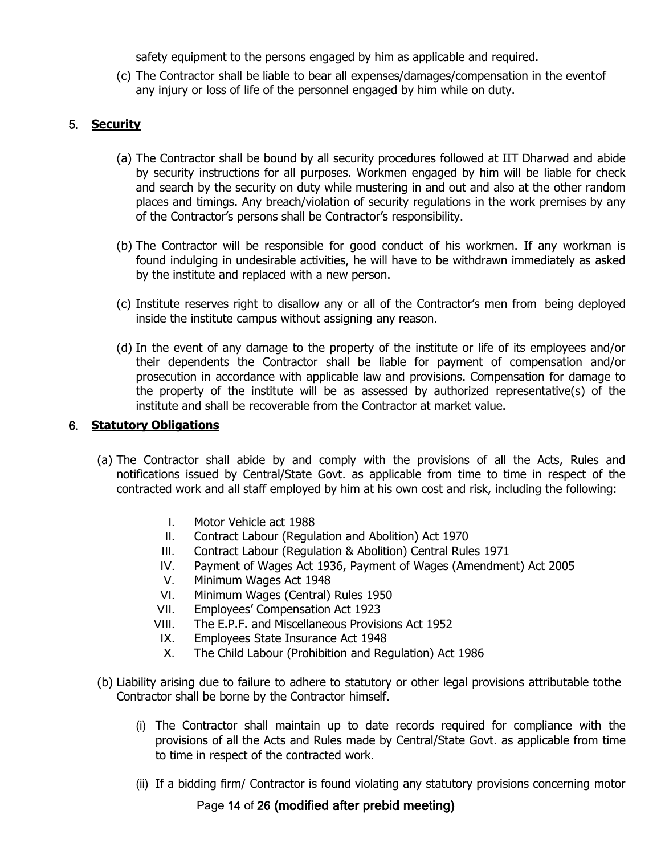safety equipment to the persons engaged by him as applicable and required.

(c) The Contractor shall be liable to bear all expenses/damages/compensation in the eventof any injury or loss of life of the personnel engaged by him while on duty.

## 5. **Security**

- (a) The Contractor shall be bound by all security procedures followed at IIT Dharwad and abide by security instructions for all purposes. Workmen engaged by him will be liable for check and search by the security on duty while mustering in and out and also at the other random places and timings. Any breach/violation of security regulations in the work premises by any of the Contractor's persons shall be Contractor's responsibility.
- (b) The Contractor will be responsible for good conduct of his workmen. If any workman is found indulging in undesirable activities, he will have to be withdrawn immediately as asked by the institute and replaced with a new person.
- (c) Institute reserves right to disallow any or all of the Contractor's men from being deployed inside the institute campus without assigning any reason.
- (d) In the event of any damage to the property of the institute or life of its employees and/or their dependents the Contractor shall be liable for payment of compensation and/or prosecution in accordance with applicable law and provisions. Compensation for damage to the property of the institute will be as assessed by authorized representative(s) of the institute and shall be recoverable from the Contractor at market value.

## 6. **Statutory Obligations**

- (a) The Contractor shall abide by and comply with the provisions of all the Acts, Rules and notifications issued by Central/State Govt. as applicable from time to time in respect of the contracted work and all staff employed by him at his own cost and risk, including the following:
	- I. Motor Vehicle act 1988
	- II. Contract Labour (Regulation and Abolition) Act 1970
	- III. Contract Labour (Regulation & Abolition) Central Rules 1971
	- IV. Payment of Wages Act 1936, Payment of Wages (Amendment) Act 2005
	- V. Minimum Wages Act 1948
	- VI. Minimum Wages (Central) Rules 1950
	- VII. Employees' Compensation Act 1923
	- VIII. The E.P.F. and Miscellaneous Provisions Act 1952
	- IX. Employees State Insurance Act 1948
	- X. The Child Labour (Prohibition and Regulation) Act 1986
- (b) Liability arising due to failure to adhere to statutory or other legal provisions attributable tothe Contractor shall be borne by the Contractor himself.
	- (i) The Contractor shall maintain up to date records required for compliance with the provisions of all the Acts and Rules made by Central/State Govt. as applicable from time to time in respect of the contracted work.
	- (ii) If a bidding firm/ Contractor is found violating any statutory provisions concerning motor

Page 14 of 26 (modified after prebid meeting)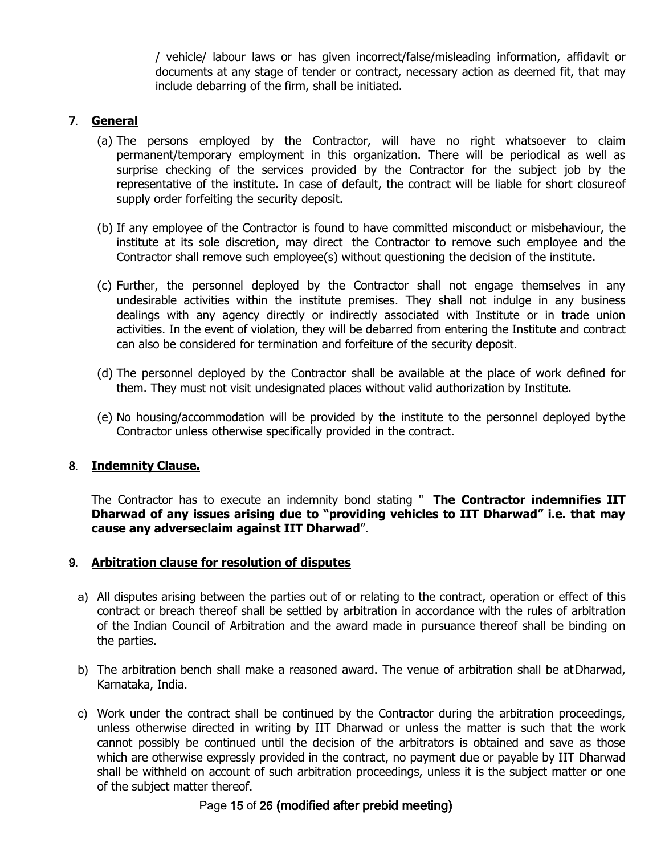/ vehicle/ labour laws or has given incorrect/false/misleading information, affidavit or documents at any stage of tender or contract, necessary action as deemed fit, that may include debarring of the firm, shall be initiated.

## 7. **General**

- (a) The persons employed by the Contractor, will have no right whatsoever to claim permanent/temporary employment in this organization. There will be periodical as well as surprise checking of the services provided by the Contractor for the subject job by the representative of the institute. In case of default, the contract will be liable for short closureof supply order forfeiting the security deposit.
- (b) If any employee of the Contractor is found to have committed misconduct or misbehaviour, the institute at its sole discretion, may direct the Contractor to remove such employee and the Contractor shall remove such employee(s) without questioning the decision of the institute.
- (c) Further, the personnel deployed by the Contractor shall not engage themselves in any undesirable activities within the institute premises. They shall not indulge in any business dealings with any agency directly or indirectly associated with Institute or in trade union activities. In the event of violation, they will be debarred from entering the Institute and contract can also be considered for termination and forfeiture of the security deposit.
- (d) The personnel deployed by the Contractor shall be available at the place of work defined for them. They must not visit undesignated places without valid authorization by Institute.
- (e) No housing/accommodation will be provided by the institute to the personnel deployed bythe Contractor unless otherwise specifically provided in the contract.

## 8. **Indemnity Clause.**

The Contractor has to execute an indemnity bond stating " **The Contractor indemnifies IIT Dharwad of any issues arising due to "providing vehicles to IIT Dharwad" i.e. that may cause any adverseclaim against IIT Dharwad**".

### 9. **Arbitration clause for resolution of disputes**

- a) All disputes arising between the parties out of or relating to the contract, operation or effect of this contract or breach thereof shall be settled by arbitration in accordance with the rules of arbitration of the Indian Council of Arbitration and the award made in pursuance thereof shall be binding on the parties.
- b) The arbitration bench shall make a reasoned award. The venue of arbitration shall be at Dharwad, Karnataka, India.
- c) Work under the contract shall be continued by the Contractor during the arbitration proceedings, unless otherwise directed in writing by IIT Dharwad or unless the matter is such that the work cannot possibly be continued until the decision of the arbitrators is obtained and save as those which are otherwise expressly provided in the contract, no payment due or payable by IIT Dharwad shall be withheld on account of such arbitration proceedings, unless it is the subject matter or one of the subject matter thereof.

## Page 15 of 26 (modified after prebid meeting)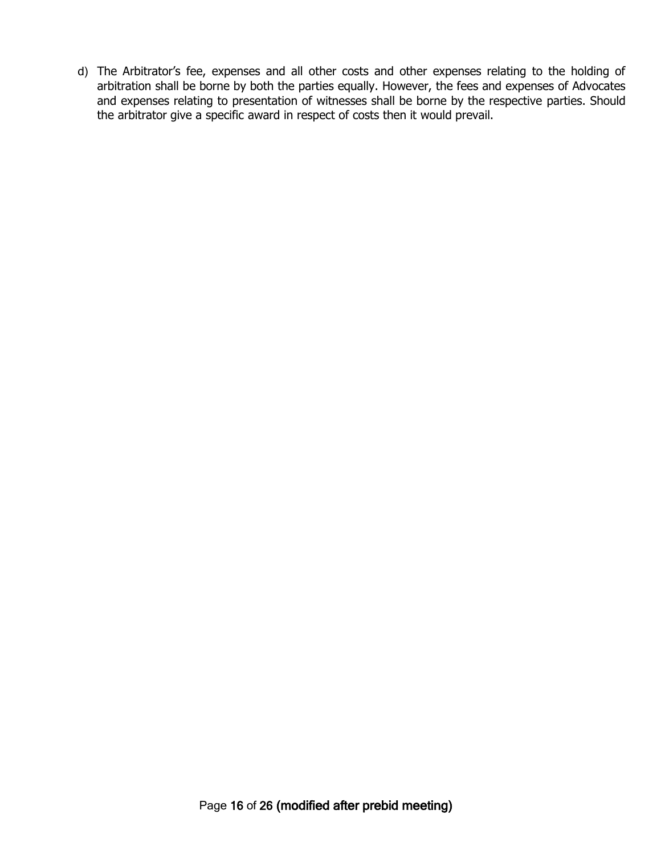d) The Arbitrator's fee, expenses and all other costs and other expenses relating to the holding of arbitration shall be borne by both the parties equally. However, the fees and expenses of Advocates and expenses relating to presentation of witnesses shall be borne by the respective parties. Should the arbitrator give a specific award in respect of costs then it would prevail.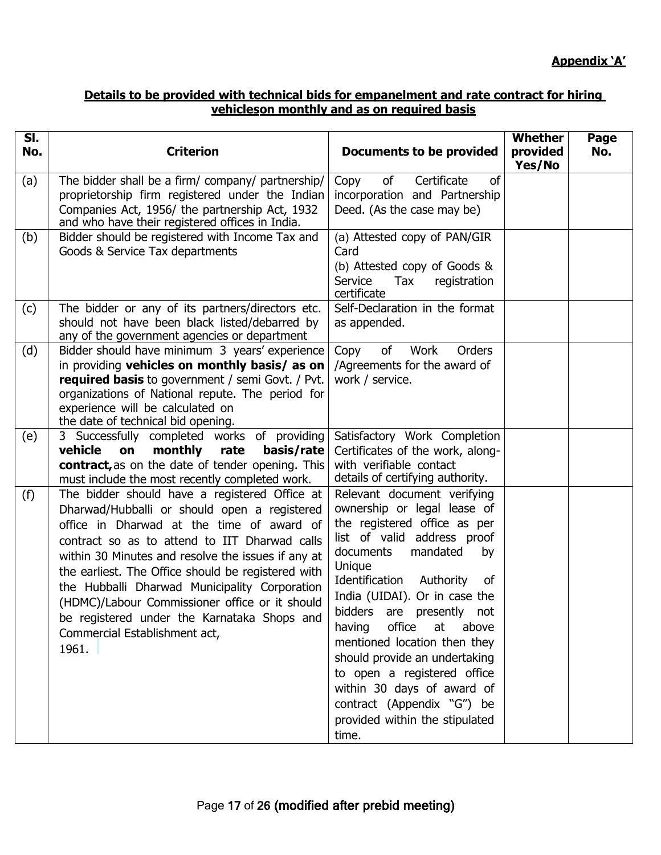## **Details to be provided with technical bids for empanelment and rate contract for hiring vehicleson monthly and as on required basis**

| $\overline{\mathsf{SI}}$ .<br>No. | <b>Criterion</b>                                                                                                                                                                                                                                                                                                                                                                                                                                                                                    | <b>Documents to be provided</b>                                                                                                                                                                                                                                                                                                                                                                                                                                                                                 | Whether<br>provided<br>Yes/No | Page<br>No. |
|-----------------------------------|-----------------------------------------------------------------------------------------------------------------------------------------------------------------------------------------------------------------------------------------------------------------------------------------------------------------------------------------------------------------------------------------------------------------------------------------------------------------------------------------------------|-----------------------------------------------------------------------------------------------------------------------------------------------------------------------------------------------------------------------------------------------------------------------------------------------------------------------------------------------------------------------------------------------------------------------------------------------------------------------------------------------------------------|-------------------------------|-------------|
| (a)                               | The bidder shall be a firm/ company/ partnership/<br>proprietorship firm registered under the Indian<br>Companies Act, 1956/ the partnership Act, 1932<br>and who have their registered offices in India.                                                                                                                                                                                                                                                                                           | Certificate<br>of<br>0f<br>Copy<br>incorporation and Partnership<br>Deed. (As the case may be)                                                                                                                                                                                                                                                                                                                                                                                                                  |                               |             |
| (b)                               | Bidder should be registered with Income Tax and<br>Goods & Service Tax departments                                                                                                                                                                                                                                                                                                                                                                                                                  | (a) Attested copy of PAN/GIR<br>Card<br>(b) Attested copy of Goods &<br>Service<br>Tax<br>registration<br>certificate                                                                                                                                                                                                                                                                                                                                                                                           |                               |             |
| (c)                               | The bidder or any of its partners/directors etc.<br>should not have been black listed/debarred by<br>any of the government agencies or department                                                                                                                                                                                                                                                                                                                                                   | Self-Declaration in the format<br>as appended.                                                                                                                                                                                                                                                                                                                                                                                                                                                                  |                               |             |
| (d)                               | Bidder should have minimum 3 years' experience<br>in providing vehicles on monthly basis/ as on<br><b>required basis</b> to government / semi Govt. / Pvt.<br>organizations of National repute. The period for<br>experience will be calculated on<br>the date of technical bid opening.                                                                                                                                                                                                            | Work<br>Orders<br>of<br>Copy<br>/Agreements for the award of<br>work / service.                                                                                                                                                                                                                                                                                                                                                                                                                                 |                               |             |
| (e)                               | 3 Successfully completed works of providing<br>vehicle<br>monthly<br>on<br>rate<br>basis/rate<br>contract, as on the date of tender opening. This<br>must include the most recently completed work.                                                                                                                                                                                                                                                                                                 | Satisfactory Work Completion<br>Certificates of the work, along-<br>with verifiable contact<br>details of certifying authority.                                                                                                                                                                                                                                                                                                                                                                                 |                               |             |
| (f)                               | The bidder should have a registered Office at<br>Dharwad/Hubballi or should open a registered<br>office in Dharwad at the time of award of<br>contract so as to attend to IIT Dharwad calls<br>within 30 Minutes and resolve the issues if any at<br>the earliest. The Office should be registered with<br>the Hubballi Dharwad Municipality Corporation<br>(HDMC)/Labour Commissioner office or it should<br>be registered under the Karnataka Shops and<br>Commercial Establishment act,<br>1961. | Relevant document verifying<br>ownership or legal lease of<br>the registered office as per<br>list of valid address proof<br>mandated<br>documents<br>by<br>Unique<br>Identification<br>Authority<br>0f<br>India (UIDAI). Or in case the<br>bidders are presently not<br>office<br>at<br>above<br>having<br>mentioned location then they<br>should provide an undertaking<br>to open a registered office<br>within 30 days of award of<br>contract (Appendix "G") be<br>provided within the stipulated<br>time. |                               |             |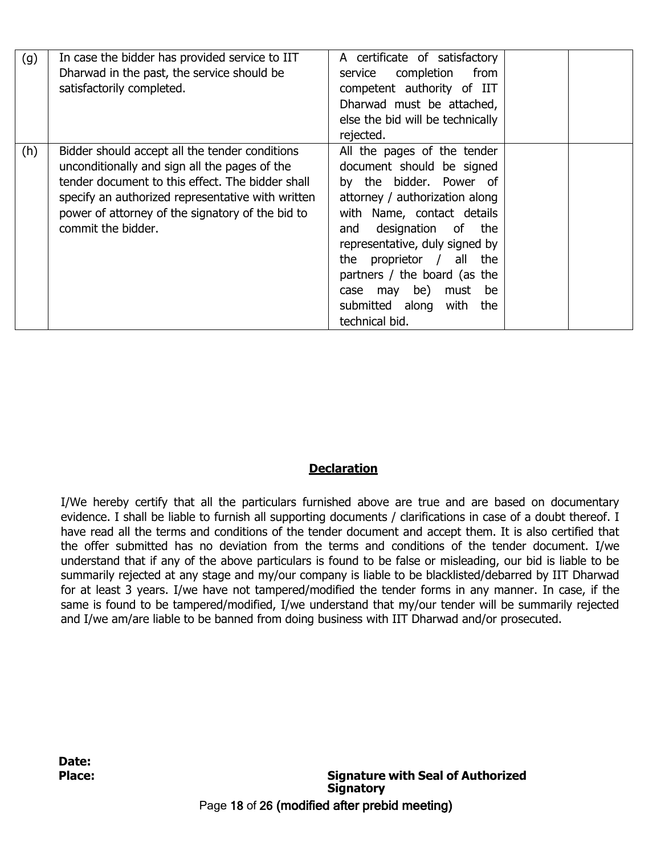| (g) | In case the bidder has provided service to IIT<br>Dharwad in the past, the service should be<br>satisfactorily completed.                                                                                                                                                          | A certificate of satisfactory<br>completion<br>from<br>service<br>competent authority of IIT<br>Dharwad must be attached,<br>else the bid will be technically<br>rejected.                                                                                                                                                                                    |  |
|-----|------------------------------------------------------------------------------------------------------------------------------------------------------------------------------------------------------------------------------------------------------------------------------------|---------------------------------------------------------------------------------------------------------------------------------------------------------------------------------------------------------------------------------------------------------------------------------------------------------------------------------------------------------------|--|
| (h) | Bidder should accept all the tender conditions<br>unconditionally and sign all the pages of the<br>tender document to this effect. The bidder shall<br>specify an authorized representative with written<br>power of attorney of the signatory of the bid to<br>commit the bidder. | All the pages of the tender<br>document should be signed<br>by the bidder. Power of<br>attorney / authorization along<br>with Name, contact details<br>designation of the<br>and<br>representative, duly signed by<br>proprietor / all the<br>the<br>partners / the board (as the<br>case may be) must be<br>submitted along<br>with<br>the<br>technical bid. |  |

## **Declaration**

I/We hereby certify that all the particulars furnished above are true and are based on documentary evidence. I shall be liable to furnish all supporting documents / clarifications in case of a doubt thereof. I have read all the terms and conditions of the tender document and accept them. It is also certified that the offer submitted has no deviation from the terms and conditions of the tender document. I/we understand that if any of the above particulars is found to be false or misleading, our bid is liable to be summarily rejected at any stage and my/our company is liable to be blacklisted/debarred by IIT Dharwad for at least 3 years. I/we have not tampered/modified the tender forms in any manner. In case, if the same is found to be tampered/modified, I/we understand that my/our tender will be summarily rejected and I/we am/are liable to be banned from doing business with IIT Dharwad and/or prosecuted.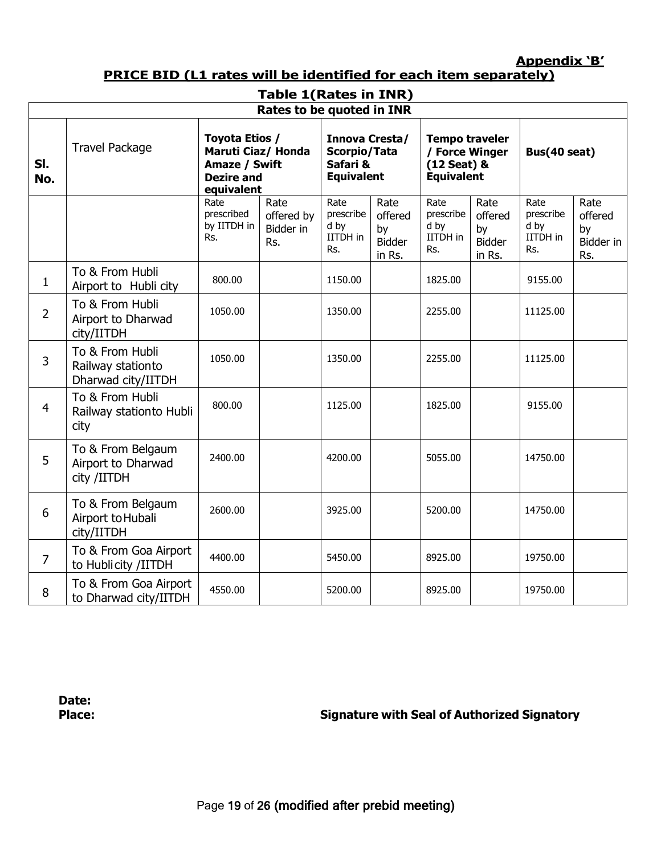**Appendix 'B'**

**PRICE BID (L1 rates will be identified for each item separately)**

| <b>Table 1(Rates in INR)</b> |                                                            |                                                                                          |                                        |                                                                 |                                                  |                                                                             |                                                  |                                              |                                           |  |
|------------------------------|------------------------------------------------------------|------------------------------------------------------------------------------------------|----------------------------------------|-----------------------------------------------------------------|--------------------------------------------------|-----------------------------------------------------------------------------|--------------------------------------------------|----------------------------------------------|-------------------------------------------|--|
|                              |                                                            |                                                                                          | Rates to be quoted in INR              |                                                                 |                                                  |                                                                             |                                                  |                                              |                                           |  |
| SI.<br>No.                   | <b>Travel Package</b>                                      | Toyota Etios /<br>Maruti Ciaz/ Honda<br>Amaze / Swift<br><b>Dezire and</b><br>equivalent |                                        | Innova Cresta/<br>Scorpio/Tata<br>Safari &<br><b>Equivalent</b> |                                                  | <b>Tempo traveler</b><br>/ Force Winger<br>(12 Seat) &<br><b>Equivalent</b> |                                                  | Bus(40 seat)                                 |                                           |  |
|                              |                                                            | Rate<br>prescribed<br>by IITDH in<br>Rs.                                                 | Rate<br>offered by<br>Bidder in<br>Rs. | Rate<br>prescribe<br>d by<br>IITDH in<br>Rs.                    | Rate<br>offered<br>by<br><b>Bidder</b><br>in Rs. | Rate<br>prescribe<br>d by<br>IITDH in<br>Rs.                                | Rate<br>offered<br>by<br><b>Bidder</b><br>in Rs. | Rate<br>prescribe<br>d by<br>IITDH in<br>Rs. | Rate<br>offered<br>by<br>Bidder in<br>Rs. |  |
| $\mathbf{1}$                 | To & From Hubli<br>Airport to Hubli city                   | 800.00                                                                                   |                                        | 1150.00                                                         |                                                  | 1825.00                                                                     |                                                  | 9155.00                                      |                                           |  |
| $\overline{2}$               | To & From Hubli<br>Airport to Dharwad<br>city/IITDH        | 1050.00                                                                                  |                                        | 1350.00                                                         |                                                  | 2255.00                                                                     |                                                  | 11125.00                                     |                                           |  |
| 3                            | To & From Hubli<br>Railway stationto<br>Dharwad city/IITDH | 1050.00                                                                                  |                                        | 1350.00                                                         |                                                  | 2255.00                                                                     |                                                  | 11125.00                                     |                                           |  |
| 4                            | To & From Hubli<br>Railway stationto Hubli<br>city         | 800.00                                                                                   |                                        | 1125.00                                                         |                                                  | 1825.00                                                                     |                                                  | 9155.00                                      |                                           |  |
| 5                            | To & From Belgaum<br>Airport to Dharwad<br>city /IITDH     | 2400.00                                                                                  |                                        | 4200.00                                                         |                                                  | 5055.00                                                                     |                                                  | 14750.00                                     |                                           |  |
| 6                            | To & From Belgaum<br>Airport to Hubali<br>city/IITDH       | 2600.00                                                                                  |                                        | 3925.00                                                         |                                                  | 5200.00                                                                     |                                                  | 14750.00                                     |                                           |  |
| $\overline{7}$               | To & From Goa Airport<br>to Hublicity /IITDH               | 4400.00                                                                                  |                                        | 5450.00                                                         |                                                  | 8925.00                                                                     |                                                  | 19750.00                                     |                                           |  |
| 8                            | To & From Goa Airport<br>to Dharwad city/IITDH             | 4550.00                                                                                  |                                        | 5200.00                                                         |                                                  | 8925.00                                                                     |                                                  | 19750.00                                     |                                           |  |

**Date:**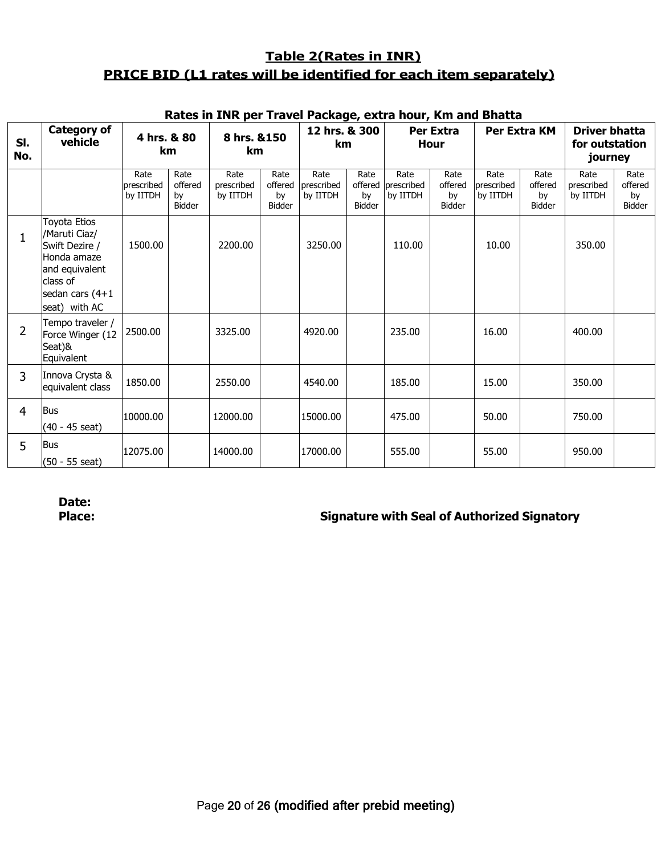# **Table 2(Rates in INR) PRICE BID (L1 rates will be identified for each item separately)**

|                | Rates in INR per Traver Fackage, extra hour, Kin and Dhatta                                                                      |                                |                                        |                                |                                        |                                |                             |                                        |                                        |                                |                                 |                                                   |                                 |
|----------------|----------------------------------------------------------------------------------------------------------------------------------|--------------------------------|----------------------------------------|--------------------------------|----------------------------------------|--------------------------------|-----------------------------|----------------------------------------|----------------------------------------|--------------------------------|---------------------------------|---------------------------------------------------|---------------------------------|
| SI.<br>No.     | <b>Category of</b><br>vehicle                                                                                                    | 4 hrs. & 80<br>km              |                                        | 8 hrs. & 150<br>km             |                                        | 12 hrs. & 300<br>km            |                             |                                        | Per Extra<br><b>Hour</b>               |                                | Per Extra KM                    | <b>Driver bhatta</b><br>for outstation<br>journey |                                 |
|                |                                                                                                                                  | Rate<br>prescribed<br>by IITDH | Rate<br>offered<br>by<br><b>Bidder</b> | Rate<br>prescribed<br>by IITDH | Rate<br>offered<br>by<br><b>Bidder</b> | Rate<br>prescribed<br>by IITDH | Rate<br>by<br><b>Bidder</b> | Rate<br>offered prescribed<br>by IITDH | Rate<br>offered<br>by<br><b>Bidder</b> | Rate<br>brescribed<br>by IITDH | Rate<br>offered<br>by<br>Bidder | Rate<br>prescribed<br>by IITDH                    | Rate<br>offered<br>by<br>Bidder |
| 1              | Toyota Etios<br>/Maruti Ciaz/<br>Swift Dezire /<br>Honda amaze<br>and equivalent<br>class of<br>sedan cars (4+1<br>seat) with AC | 1500.00                        |                                        | 2200.00                        |                                        | 3250.00                        |                             | 110.00                                 |                                        | 10.00                          |                                 | 350.00                                            |                                 |
| $\overline{2}$ | Tempo traveler /<br>Force Winger (12<br>Seat)&<br>Equivalent                                                                     | 2500.00                        |                                        | 3325.00                        |                                        | 4920.00                        |                             | 235.00                                 |                                        | 16.00                          |                                 | 400.00                                            |                                 |
| 3              | Innova Crysta &<br>equivalent class                                                                                              | 1850.00                        |                                        | 2550.00                        |                                        | 4540.00                        |                             | 185.00                                 |                                        | 15.00                          |                                 | 350.00                                            |                                 |
| $\overline{4}$ | <b>Bus</b><br>$(40 - 45$ seat)                                                                                                   | 10000.00                       |                                        | 12000.00                       |                                        | 15000.00                       |                             | 475.00                                 |                                        | 50.00                          |                                 | 750.00                                            |                                 |
| 5              | <b>Bus</b><br>$(50 - 55$ seat)                                                                                                   | 12075.00                       |                                        | 14000.00                       |                                        | 17000.00                       |                             | 555.00                                 |                                        | 55.00                          |                                 | 950.00                                            |                                 |

## **Rates in INR per Travel Package, extra hour, Km and Bhatta**

**Date:**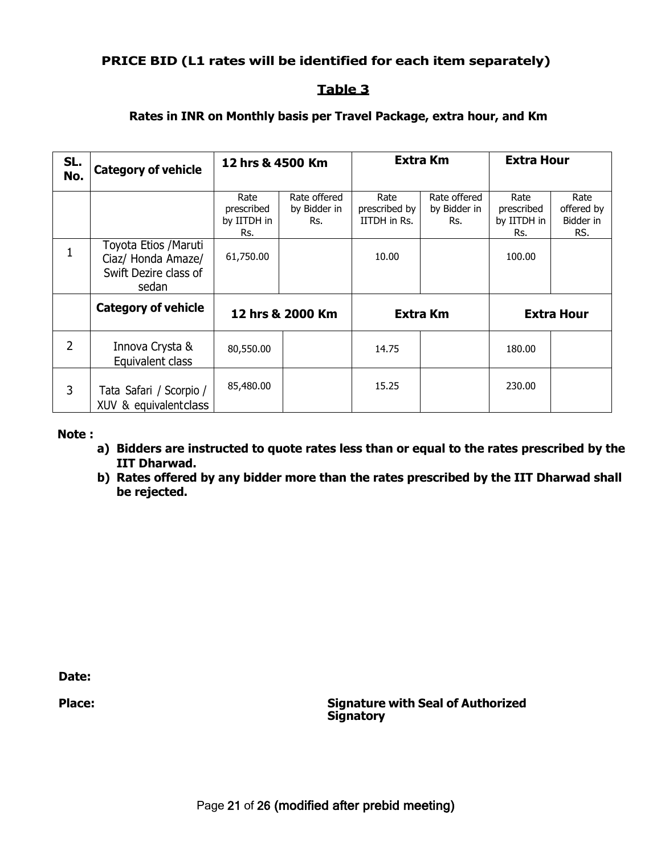## **PRICE BID (L1 rates will be identified for each item separately)**

## **Table 3**

## **Rates in INR on Monthly basis per Travel Package, extra hour, and Km**

| SL.<br>No.     | <b>Category of vehicle</b>                                                    | 12 hrs & 4500 Km                         |                                     | <b>Extra Km</b>                       |                                     | <b>Extra Hour</b>                        |                                        |
|----------------|-------------------------------------------------------------------------------|------------------------------------------|-------------------------------------|---------------------------------------|-------------------------------------|------------------------------------------|----------------------------------------|
|                |                                                                               | Rate<br>prescribed<br>by IITDH in<br>Rs. | Rate offered<br>by Bidder in<br>Rs. | Rate<br>prescribed by<br>IITDH in Rs. | Rate offered<br>by Bidder in<br>Rs. | Rate<br>prescribed<br>by IITDH in<br>Rs. | Rate<br>offered by<br>Bidder in<br>RS. |
| $\mathbf{1}$   | Toyota Etios / Maruti<br>Ciaz/ Honda Amaze/<br>Swift Dezire class of<br>sedan | 61,750.00                                |                                     | 10.00                                 |                                     | 100.00                                   |                                        |
|                | <b>Category of vehicle</b>                                                    | 12 hrs & 2000 Km                         |                                     | <b>Extra Km</b>                       |                                     | <b>Extra Hour</b>                        |                                        |
| $\overline{2}$ | Innova Crysta &<br>Equivalent class                                           | 80,550.00                                |                                     | 14.75                                 |                                     | 180.00                                   |                                        |
| 3              | Tata Safari / Scorpio /<br>XUV & equivalentclass                              | 85,480.00                                |                                     | 15.25                                 |                                     | 230.00                                   |                                        |

### **Note :**

- **a) Bidders are instructed to quote rates less than or equal to the rates prescribed by the IIT Dharwad.**
- **b) Rates offered by any bidder more than the rates prescribed by the IIT Dharwad shall be rejected.**

**Date:**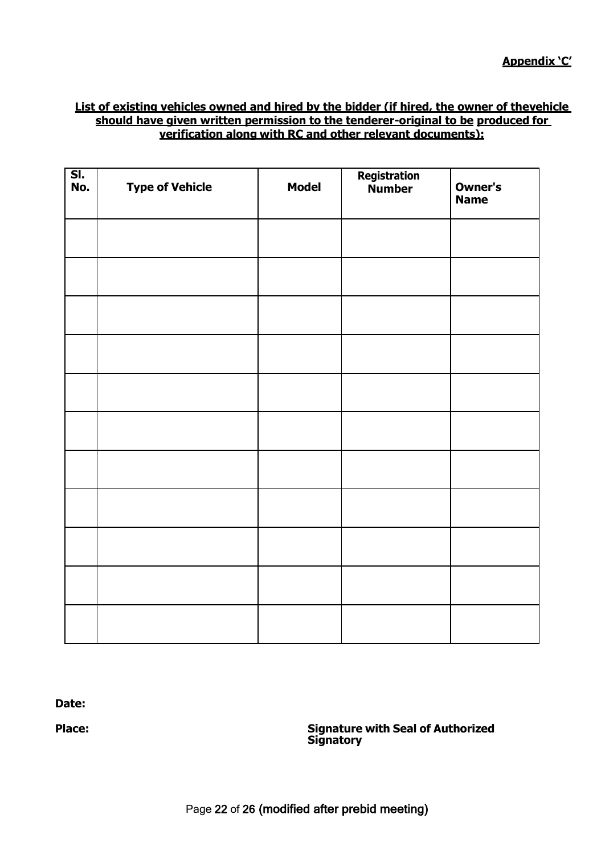### **List of existing vehicles owned and hired by the bidder (if hired, the owner of thevehicle should have given written permission to the tenderer-original to be produced for verification along with RC and other relevant documents):**

| SI.<br>No. | <b>Type of Vehicle</b> | <b>Model</b> | Registration<br>Number | Owner's<br><b>Name</b> |
|------------|------------------------|--------------|------------------------|------------------------|
|            |                        |              |                        |                        |
|            |                        |              |                        |                        |
|            |                        |              |                        |                        |
|            |                        |              |                        |                        |
|            |                        |              |                        |                        |
|            |                        |              |                        |                        |
|            |                        |              |                        |                        |
|            |                        |              |                        |                        |
|            |                        |              |                        |                        |
|            |                        |              |                        |                        |
|            |                        |              |                        |                        |

**Date:**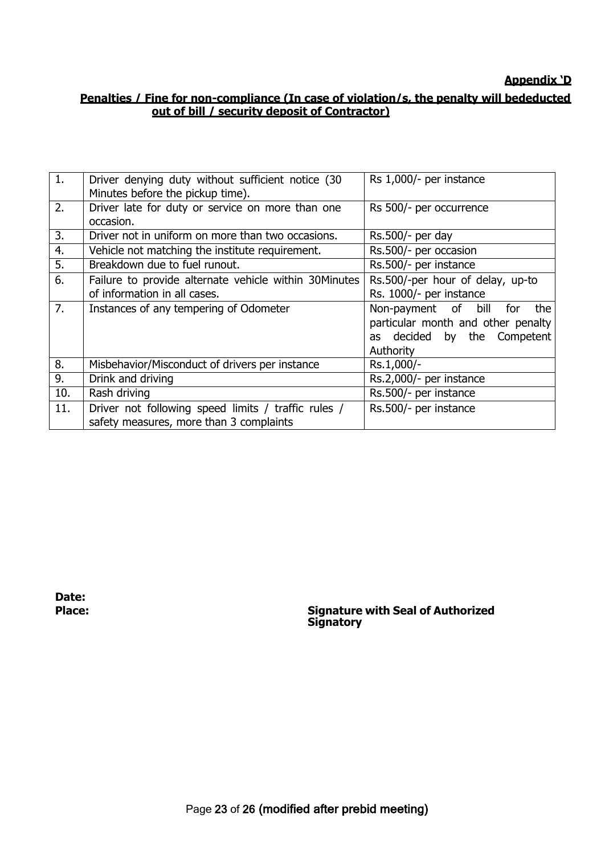# **Appendix 'D**

# **Penalties / Fine for non-compliance (In case of violation/s, the penalty will bededucted out of bill / security deposit of Contractor)**

| 1.               | Driver denying duty without sufficient notice (30)<br>Minutes before the pickup time).         | Rs 1,000/- per instance                                                                                             |
|------------------|------------------------------------------------------------------------------------------------|---------------------------------------------------------------------------------------------------------------------|
| 2.               | Driver late for duty or service on more than one<br>occasion.                                  | Rs 500/- per occurrence                                                                                             |
| 3.               | Driver not in uniform on more than two occasions.                                              | Rs.500/- per day                                                                                                    |
| 4.               | Vehicle not matching the institute requirement.                                                | Rs.500/- per occasion                                                                                               |
| $\overline{5}$ . | Breakdown due to fuel runout.                                                                  | Rs.500/- per instance                                                                                               |
| 6.               | Failure to provide alternate vehicle within 30Minutes<br>of information in all cases.          | Rs.500/-per hour of delay, up-to<br>Rs. 1000/- per instance                                                         |
| 7.               | Instances of any tempering of Odometer                                                         | Non-payment of bill<br>the<br>for<br>particular month and other penalty<br>as decided by the Competent<br>Authority |
| 8.               | Misbehavior/Misconduct of drivers per instance                                                 | Rs.1,000/-                                                                                                          |
| 9.               | Drink and driving                                                                              | Rs.2,000/- per instance                                                                                             |
| 10.              | Rash driving                                                                                   | Rs.500/- per instance                                                                                               |
| 11.              | Driver not following speed limits / traffic rules /<br>safety measures, more than 3 complaints | Rs.500/- per instance                                                                                               |
|                  |                                                                                                |                                                                                                                     |

**Date:**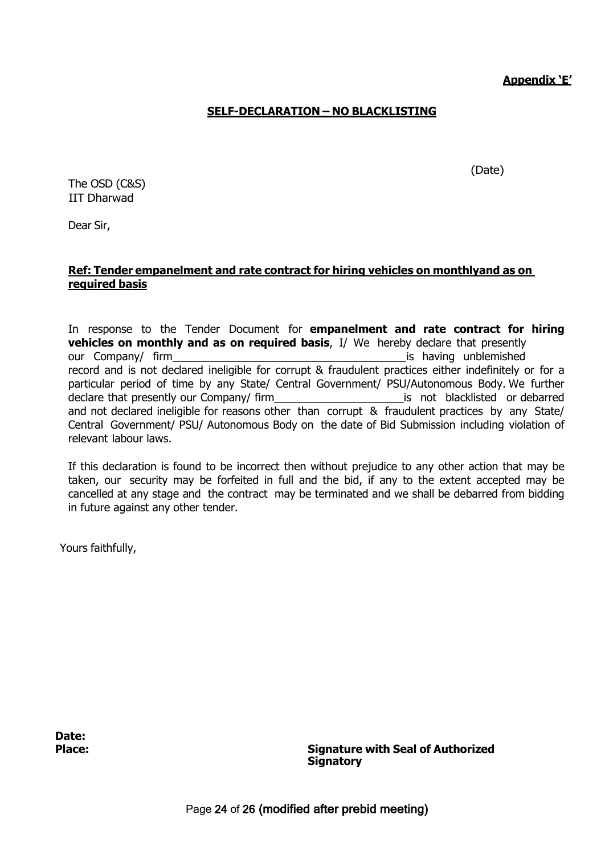**Appendix 'E'**

(Date)

## **SELF-DECLARATION – NO BLACKLISTING**

The OSD (C&S) IIT Dharwad

Dear Sir,

## **Ref: Tender empanelment and rate contract for hiring vehicles on monthlyand as on required basis**

In response to the Tender Document for **empanelment and rate contract for hiring vehicles on monthly and as on required basis**, I/ We hereby declare that presently our Company/ firm is having unblemished record and is not declared ineligible for corrupt & fraudulent practices either indefinitely or for a particular period of time by any State/ Central Government/ PSU/Autonomous Body. We further declare that presently our Company/ firm is not blacklisted or debarred and not declared ineligible for reasons other than corrupt & fraudulent practices by any State/ Central Government/ PSU/ Autonomous Body on the date of Bid Submission including violation of relevant labour laws.

If this declaration is found to be incorrect then without prejudice to any other action that may be taken, our security may be forfeited in full and the bid, if any to the extent accepted may be cancelled at any stage and the contract may be terminated and we shall be debarred from bidding in future against any other tender.

Yours faithfully,

**Date:**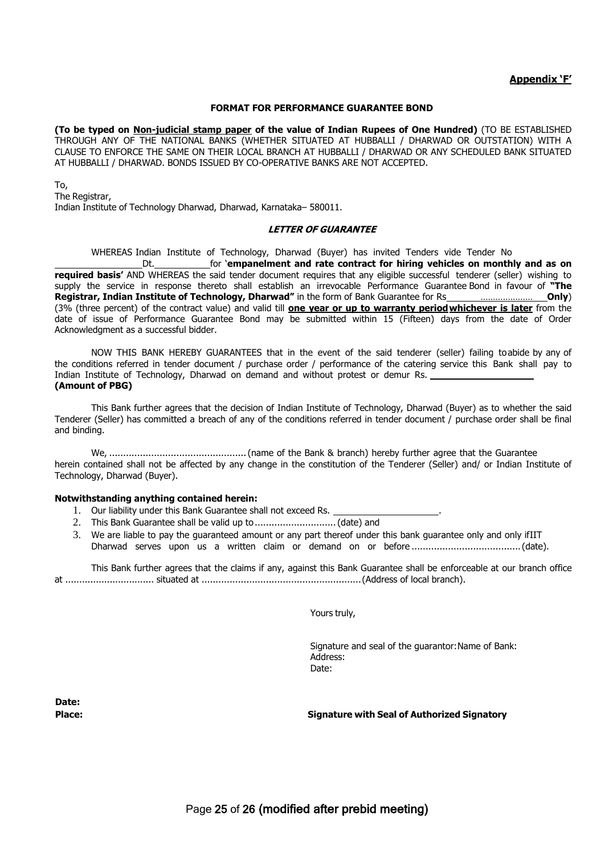#### **Appendix 'F'**

#### **FORMAT FOR PERFORMANCE GUARANTEE BOND**

**(To be typed on Non-judicial stamp paper of the value of Indian Rupees of One Hundred)** (TO BE ESTABLISHED THROUGH ANY OF THE NATIONAL BANKS (WHETHER SITUATED AT HUBBALLI / DHARWAD OR OUTSTATION) WITH A CLAUSE TO ENFORCE THE SAME ON THEIR LOCAL BRANCH AT HUBBALLI / DHARWAD OR ANY SCHEDULED BANK SITUATED AT HUBBALLI / DHARWAD. BONDS ISSUED BY CO-OPERATIVE BANKS ARE NOT ACCEPTED.

#### To,

The Registrar, Indian Institute of Technology Dharwad, Dharwad, Karnataka– 580011.

#### **LETTER OF GUARANTEE**

WHEREAS Indian Institute of Technology, Dharwad (Buyer) has invited Tenders vide Tender No

Dt. for '**empanelment and rate contract for hiring vehicles on monthly and as on required basis'** AND WHEREAS the said tender document requires that any eligible successful tenderer (seller) wishing to supply the service in response thereto shall establish an irrevocable Performance Guarantee Bond in favour of **"The Registrar, Indian Institute of Technology, Dharwad"** in the form of Bank Guarantee for Rs **\_\_\_\_\_\_\_\_\_\_\_\_\_\_\_\_\_\_\_\_\_\_\_\_Only**) (3% (three percent) of the contract value) and valid till **one year or up to warranty periodwhichever is later** from the date of issue of Performance Guarantee Bond may be submitted within 15 (Fifteen) days from the date of Order Acknowledgment as a successful bidder.

NOW THIS BANK HEREBY GUARANTEES that in the event of the said tenderer (seller) failing toabide by any of the conditions referred in tender document / purchase order / performance of the catering service this Bank shall pay to Indian Institute of Technology, Dharwad on demand and without protest or demur Rs. **(Amount of PBG)**

This Bank further agrees that the decision of Indian Institute of Technology, Dharwad (Buyer) as to whether the said Tenderer (Seller) has committed a breach of any of the conditions referred in tender document / purchase order shall be final and binding.

We, .................................................(name of the Bank & branch) hereby further agree that the Guarantee herein contained shall not be affected by any change in the constitution of the Tenderer (Seller) and/ or Indian Institute of Technology, Dharwad (Buyer).

#### **Notwithstanding anything contained herein:**

- 1. Our liability under this Bank Guarantee shall not exceed Rs. \_
- 2. This Bank Guarantee shall be valid up to ..................................(date) and
- 3. We are liable to pay the guaranteed amount or any part thereof under this bank guarantee only and only ifIIT Dharwad serves upon us a written claim or demand on or before .......................................(date).

This Bank further agrees that the claims if any, against this Bank Guarantee shall be enforceable at our branch office at ................................ situated at .........................................................(Address of local branch).

Yours truly,

Signature and seal of the guarantor:Name of Bank: Address: Date:

**Date:**